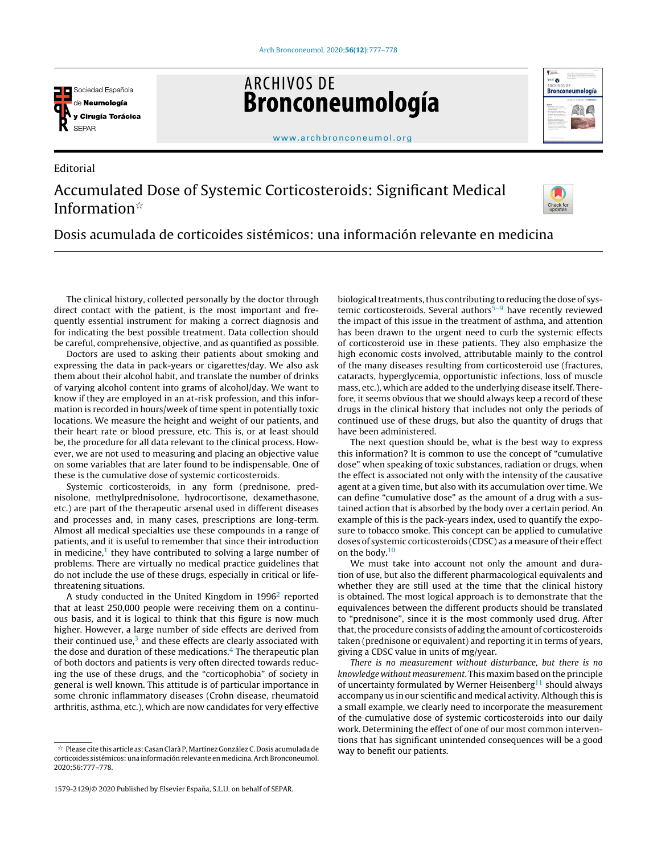

Editorial

**ARCHIVOS DE** Bronconeumología



[www.archbronconeumol.org](http://www.archbronconeumol.org)

## Accumulated Dose of Systemic Corticosteroids: Significant Medical Information $\mathbb{R}$



Dosis acumulada de corticoides sistémicos: una información relevante en medicina

The clinical history, collected personally by the doctor through direct contact with the patient, is the most important and frequently essential instrument for making a correct diagnosis and for indicating the best possible treatment. Data collection should be careful, comprehensive, objective, and as quantified as possible.

Doctors are used to asking their patients about smoking and expressing the data in pack-years or cigarettes/day. We also ask them about their alcohol habit, and translate the number of drinks of varying alcohol content into grams of alcohol/day. We want to know if they are employed in an at-risk profession, and this information is recorded in hours/week of time spent in potentially toxic locations. We measure the height and weight of our patients, and their heart rate or blood pressure, etc. This is, or at least should be, the procedure for all data relevant to the clinical process. However, we are not used to measuring and placing an objective value on some variables that are later found to be indispensable. One of these is the cumulative dose of systemic corticosteroids.

Systemic corticosteroids, in any form (prednisone, prednisolone, methylprednisolone, hydrocortisone, dexamethasone, etc.) are part of the therapeutic arsenal used in different diseases and processes and, in many cases, prescriptions are long-term. Almost all medical specialties use these compounds in a range of patients, and it is useful to remember that since their introduction in medicine,<sup>[1](#page-1-0)</sup> they have contributed to solving a large number of problems. There are virtually no medical practice guidelines that do not include the use of these drugs, especially in critical or lifethreatening situations.

A study conducted in the United Kingdom in 1996<sup>[2](#page-1-0)</sup> reported that at least 250,000 people were receiving them on a continuous basis, and it is logical to think that this figure is now much higher. However, a large number of side effects are derived from their continued use, $3$  and these effects are clearly associated with the dose and duration of these medications. $4$  The therapeutic plan of both doctors and patients is very often directed towards reducing the use of these drugs, and the "corticophobia" of society in general is well known. This attitude is of particular importance in some chronic inflammatory diseases (Crohn disease, rheumatoid arthritis, asthma, etc.), which are now candidates for very effective

biological treatments, thus contributing to reducing the dose of systemic corticosteroids. Several authors $5-9$  have recently reviewed the impact of this issue in the treatment of asthma, and attention has been drawn to the urgent need to curb the systemic effects of corticosteroid use in these patients. They also emphasize the high economic costs involved, attributable mainly to the control of the many diseases resulting from corticosteroid use (fractures, cataracts, hyperglycemia, opportunistic infections, loss of muscle mass, etc.), which are added to the underlying disease itself. Therefore, it seems obvious that we should always keep a record of these drugs in the clinical history that includes not only the periods of continued use of these drugs, but also the quantity of drugs that have been administered.

The next question should be, what is the best way to express this information? It is common to use the concept of "cumulative dose" when speaking of toxic substances, radiation or drugs, when the effect is associated not only with the intensity of the causative agent at a given time, but also with its accumulation over time. We can define "cumulative dose" as the amount of a drug with a sustained action that is absorbed by the body over a certain period. An example of this is the pack-years index, used to quantify the exposure to tobacco smoke. This concept can be applied to cumulative doses of systemic corticosteroids (CDSC) as a measure of their effect on the body.<sup>[10](#page-1-0)</sup>

We must take into account not only the amount and duration of use, but also the different pharmacological equivalents and whether they are still used at the time that the clinical history is obtained. The most logical approach is to demonstrate that the equivalences between the different products should be translated to "prednisone", since it is the most commonly used drug. After that, the procedure consists of adding the amount of corticosteroids taken (prednisone or equivalent) and reporting it in terms of years, giving a CDSC value in units of mg/year.

There is no measurement without disturbance, but there is no knowledge without measurement. This maxim based on the principle of uncertainty formulated by Werner Heisenberg<sup>[11](#page-1-0)</sup> should always accompany us in our scientific and medical activity. Although this is a small example, we clearly need to incorporate the measurement of the cumulative dose of systemic corticosteroids into our daily work. Determining the effect of one of our most common interventions that has significant unintended consequences will be a good way to benefit our patients.

 $^\star$  Please cite this article as: Casan Clarà P, Martínez González C. Dosis acumulada de corticoides sistémicos: una información relevante en medicina.Arch Bronconeumol. 2020;56:777–778.

<sup>1579-2129/© 2020</sup> Published by Elsevier España, S.L.U. on behalf of SEPAR.